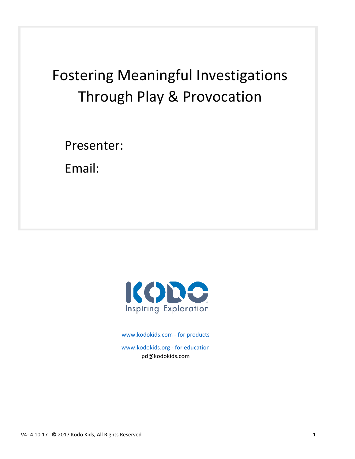# Fostering Meaningful Investigations Through Play & Provocation

Presenter: 

Email: 



www.kodokids.com - for products www.kodokids.org - for education pd@kodokids.com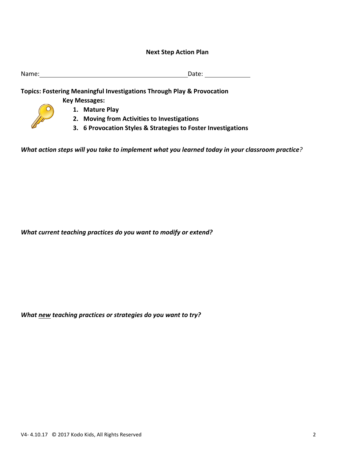#### **Next Step Action Plan**

| Name: | Date: |  |
|-------|-------|--|
|       |       |  |

**Topics: Fostering Meaningful Investigations Through Play & Provocation** 

**Key Messages:**

- **1. Mature Play**
- **2. Moving from Activities to Investigations**
- **3. 6 Provocation Styles & Strategies to Foster Investigations**

*What action steps will you take to implement what you learned today in your classroom practice?* 

What current teaching practices do you want to modify or extend?

*What new teaching practices or strategies do you want to try?*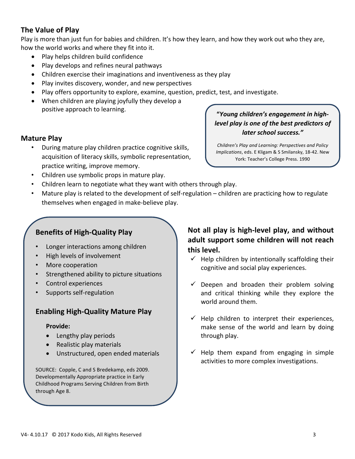### **The Value of Play**

Play is more than just fun for babies and children. It's how they learn, and how they work out who they are, how the world works and where they fit into it.

- Play helps children build confidence
- Play develops and refines neural pathways
- Children exercise their imaginations and inventiveness as they play
- Play invites discovery, wonder, and new perspectives
- Play offers opportunity to explore, examine, question, predict, test, and investigate.
- When children are playing joyfully they develop a positive approach to learning.

#### **Mature Play**

During mature play children practice cognitive skills, acquisition of literacy skills, symbolic representation, practice writing, improve memory.

"Young children's engagement in high*level play is one of the best predictors of later school success."*

*Children's Play and Learning: Perspectives and Policy Implications*, eds. E Kligam & S Smilansky, 18-42. New York: Teacher's College Press. 1990

- Children use symbolic props in mature play.
- Children learn to negotiate what they want with others through play.
- Mature play is related to the development of self-regulation  $-$  children are practicing how to regulate themselves when engaged in make-believe play.

### **Benefits of High-Quality Play**

- Longer interactions among children
- High levels of involvement
- More cooperation
- Strengthened ability to picture situations
- Control experiences
- Supports self-regulation

#### **Enabling High-Quality Mature Play**

#### **Provide:**

- Lengthy play periods
- Realistic play materials
- Unstructured, open ended materials

SOURCE: Copple, C and S Bredekamp, eds 2009. Developmentally Appropriate practice in Early Childhood Programs Serving Children from Birth through Age 8.

### Not all play is high-level play, and without adult support some children will not reach **this level.**

- $\checkmark$  Help children by intentionally scaffolding their cognitive and social play experiences.
- $\checkmark$  Deepen and broaden their problem solving and critical thinking while they explore the world around them.
- $\checkmark$  Help children to interpret their experiences, make sense of the world and learn by doing through play.
- $\checkmark$  Help them expand from engaging in simple activities to more complex investigations.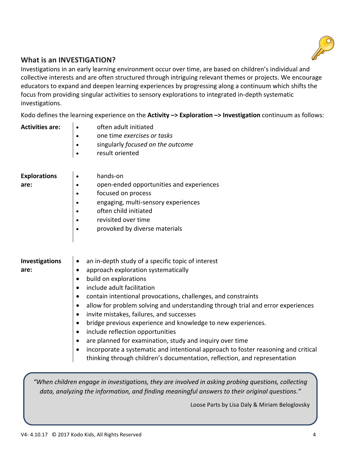

### **What is an INVESTIGATION?**

Investigations in an early learning environment occur over time, are based on children's individual and collective interests and are often structured through intriguing relevant themes or projects. We encourage educators to expand and deepen learning experiences by progressing along a continuum which shifts the focus from providing singular activities to sensory explorations to integrated in-depth systematic investigations. 

Kodo defines the learning experience on the **Activity -> Exploration -> Investigation** continuum as follows:

| <b>Activities are:</b>        | often adult initiated<br>one time exercises or tasks<br>singularly focused on the outcome<br>result oriented<br>$\bullet$                                                                                                                                                                                                                                                                                                                                                                                                                                                                                                                                                                                                                                                  |
|-------------------------------|----------------------------------------------------------------------------------------------------------------------------------------------------------------------------------------------------------------------------------------------------------------------------------------------------------------------------------------------------------------------------------------------------------------------------------------------------------------------------------------------------------------------------------------------------------------------------------------------------------------------------------------------------------------------------------------------------------------------------------------------------------------------------|
| <b>Explorations</b><br>are:   | hands-on<br>open-ended opportunities and experiences<br>focused on process<br>engaging, multi-sensory experiences<br>often child initiated<br>revisited over time<br>provoked by diverse materials                                                                                                                                                                                                                                                                                                                                                                                                                                                                                                                                                                         |
| <b>Investigations</b><br>are: | an in-depth study of a specific topic of interest<br>approach exploration systematically<br>٠<br>build on explorations<br>٠<br>include adult facilitation<br>$\bullet$<br>contain intentional provocations, challenges, and constraints<br>$\bullet$<br>allow for problem solving and understanding through trial and error experiences<br>$\bullet$<br>invite mistakes, failures, and successes<br>$\bullet$<br>bridge previous experience and knowledge to new experiences.<br>$\bullet$<br>include reflection opportunities<br>$\bullet$<br>are planned for examination, study and inquiry over time<br>incorporate a systematic and intentional approach to foster reasoning and critical<br>thinking through children's documentation, reflection, and representation |
|                               | "When children engage in investigations, they are involved in asking probing questions, collecting                                                                                                                                                                                                                                                                                                                                                                                                                                                                                                                                                                                                                                                                         |

data, analyzing the information, and finding meaningful answers to their original questions."

Loose Parts by Lisa Daly & Miriam Beloglovsky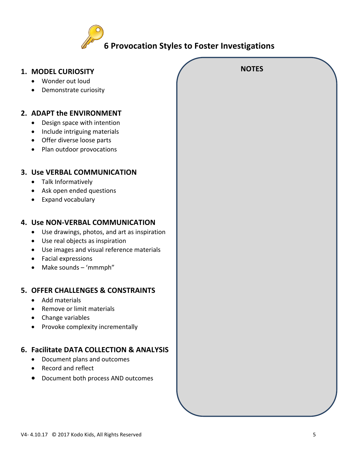

| 1. MODEL CURIOSITY                                        | <b>NOTES</b> |  |
|-----------------------------------------------------------|--------------|--|
| Wonder out loud<br>$\bullet$                              |              |  |
| Demonstrate curiosity                                     |              |  |
|                                                           |              |  |
| 2. ADAPT the ENVIRONMENT                                  |              |  |
|                                                           |              |  |
| Design space with intention<br>$\bullet$                  |              |  |
| Include intriguing materials<br>$\bullet$                 |              |  |
| Offer diverse loose parts<br>$\bullet$                    |              |  |
| Plan outdoor provocations<br>$\bullet$                    |              |  |
|                                                           |              |  |
| 3. Use VERBAL COMMUNICATION                               |              |  |
| Talk Informatively                                        |              |  |
| Ask open ended questions<br>٠                             |              |  |
| Expand vocabulary<br>$\bullet$                            |              |  |
|                                                           |              |  |
|                                                           |              |  |
| 4. Use NON-VERBAL COMMUNICATION                           |              |  |
| Use drawings, photos, and art as inspiration<br>$\bullet$ |              |  |
| Use real objects as inspiration<br>$\bullet$              |              |  |
| Use images and visual reference materials<br>$\bullet$    |              |  |
| Facial expressions<br>$\bullet$                           |              |  |
| Make sounds - 'mmmph"<br>$\bullet$                        |              |  |
|                                                           |              |  |
| 5. OFFER CHALLENGES & CONSTRAINTS                         |              |  |
| Add materials                                             |              |  |
| Remove or limit materials                                 |              |  |
| Change variables                                          |              |  |
| Provoke complexity incrementally                          |              |  |
|                                                           |              |  |
| 6. Facilitate DATA COLLECTION & ANALYSIS                  |              |  |
| Document plans and outcomes                               |              |  |
| Record and reflect                                        |              |  |
| Document both process AND outcomes                        |              |  |
|                                                           |              |  |
|                                                           |              |  |
|                                                           |              |  |
|                                                           |              |  |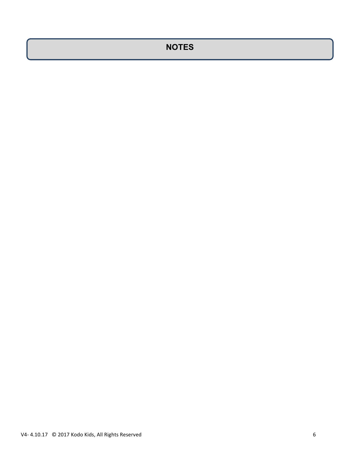# **NOTES**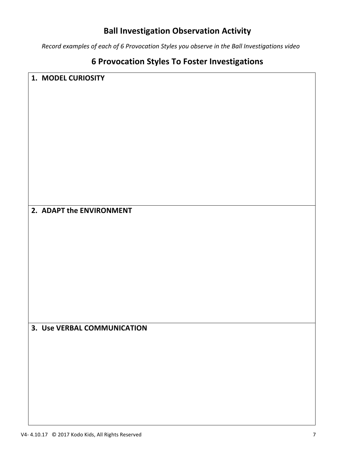### **Ball Investigation Observation Activity**

*Record examples of each of 6 Provocation Styles you observe in the Ball Investigations video* 

# **6 Provocation Styles To Foster Investigations**

| 1. MODEL CURIOSITY          |  |
|-----------------------------|--|
|                             |  |
|                             |  |
|                             |  |
|                             |  |
|                             |  |
|                             |  |
|                             |  |
|                             |  |
|                             |  |
|                             |  |
|                             |  |
|                             |  |
| 2. ADAPT the ENVIRONMENT    |  |
|                             |  |
|                             |  |
|                             |  |
|                             |  |
|                             |  |
|                             |  |
|                             |  |
|                             |  |
|                             |  |
|                             |  |
| 3. Use VERBAL COMMUNICATION |  |
|                             |  |
|                             |  |
|                             |  |
|                             |  |
|                             |  |
|                             |  |
|                             |  |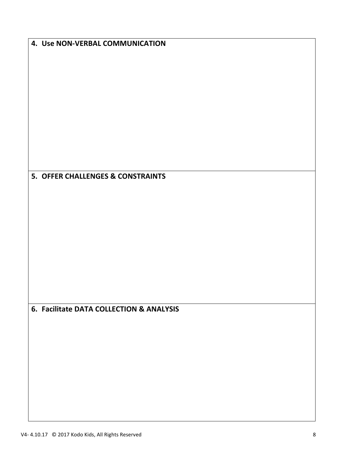| 4. Use NON-VERBAL COMMUNICATION          |
|------------------------------------------|
|                                          |
|                                          |
|                                          |
|                                          |
|                                          |
|                                          |
|                                          |
| 5. OFFER CHALLENGES & CONSTRAINTS        |
|                                          |
|                                          |
|                                          |
|                                          |
|                                          |
|                                          |
|                                          |
| 6. Facilitate DATA COLLECTION & ANALYSIS |
|                                          |
|                                          |
|                                          |
|                                          |
|                                          |
|                                          |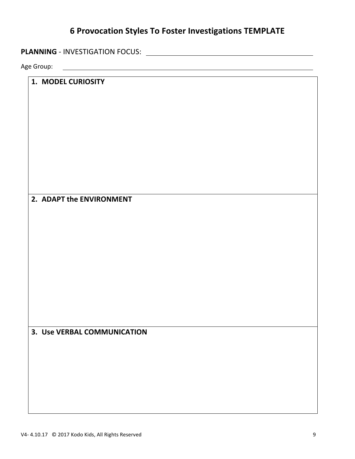### **6 Provocation Styles To Foster Investigations TEMPLATE**

**PLANNING** - INVESTIGATION FOCUS: 

Age Group:

#### **1. MODEL CURIOSITY**

**2. ADAPT the ENVIRONMENT** 

**3. Use VERBAL COMMUNICATION**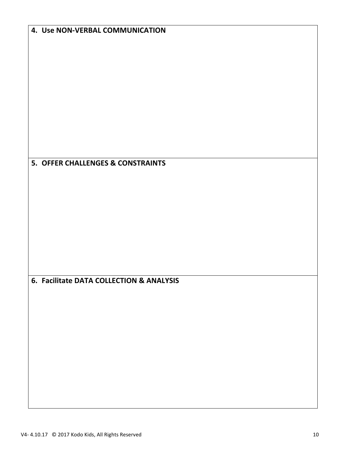| 4. Use NON-VERBAL COMMUNICATION          |
|------------------------------------------|
|                                          |
|                                          |
|                                          |
|                                          |
|                                          |
|                                          |
|                                          |
|                                          |
|                                          |
|                                          |
|                                          |
|                                          |
|                                          |
| 5. OFFER CHALLENGES & CONSTRAINTS        |
|                                          |
|                                          |
|                                          |
|                                          |
|                                          |
|                                          |
|                                          |
|                                          |
|                                          |
|                                          |
|                                          |
| 6. Facilitate DATA COLLECTION & ANALYSIS |
|                                          |
|                                          |
|                                          |
|                                          |
|                                          |
|                                          |
|                                          |
|                                          |
|                                          |
|                                          |
|                                          |
|                                          |
|                                          |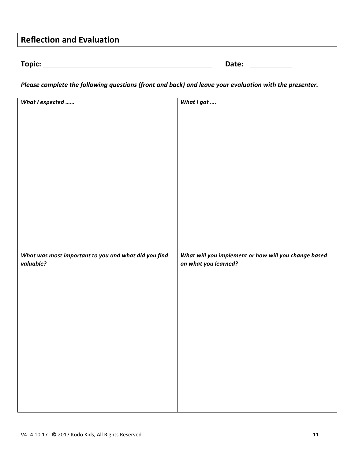# **Reflection and Evaluation**

| г | ı۲<br>ווס |  |  |
|---|-----------|--|--|
|   |           |  |  |

| Topic: | Date: |  |
|--------|-------|--|
|        |       |  |

*Please complete the following questions (front and back) and leave your evaluation with the presenter.* 

| What I expected                                      | What I got                                           |
|------------------------------------------------------|------------------------------------------------------|
|                                                      |                                                      |
|                                                      |                                                      |
|                                                      |                                                      |
|                                                      |                                                      |
|                                                      |                                                      |
|                                                      |                                                      |
|                                                      |                                                      |
|                                                      |                                                      |
|                                                      |                                                      |
|                                                      |                                                      |
|                                                      |                                                      |
|                                                      |                                                      |
|                                                      |                                                      |
|                                                      |                                                      |
|                                                      |                                                      |
| What was most important to you and what did you find | What will you implement or how will you change based |
|                                                      |                                                      |
|                                                      |                                                      |
| valuable?                                            | on what you learned?                                 |
|                                                      |                                                      |
|                                                      |                                                      |
|                                                      |                                                      |
|                                                      |                                                      |
|                                                      |                                                      |
|                                                      |                                                      |
|                                                      |                                                      |
|                                                      |                                                      |
|                                                      |                                                      |
|                                                      |                                                      |
|                                                      |                                                      |
|                                                      |                                                      |
|                                                      |                                                      |
|                                                      |                                                      |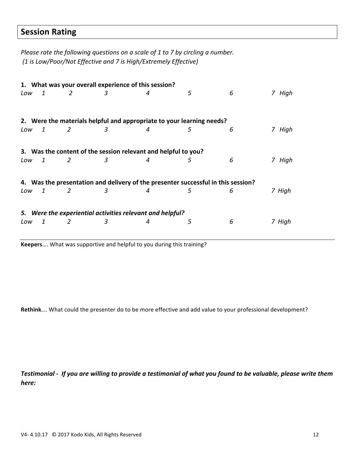### **Session Rating**

*Please rate the following questions on a scale of 1 to 7 by circling a number. (1 is Low/Poor/Not Effective and 7 is High/Extremely Effective)*

|     |                                                                                   |   |   | 1. What was your overall experience of this session?                  |   |   |        |
|-----|-----------------------------------------------------------------------------------|---|---|-----------------------------------------------------------------------|---|---|--------|
| Low | 1                                                                                 | 2 | 3 | 4                                                                     | 5 | 6 | 7 High |
|     |                                                                                   |   |   | 2. Were the materials helpful and appropriate to your learning needs? |   |   |        |
| Low | -1                                                                                | 2 | З | 4                                                                     | 5 | 6 | 7 High |
| Low | 1                                                                                 | 2 | 3 | 3. Was the content of the session relevant and helpful to you?<br>4   | 5 | 6 | 7 High |
|     |                                                                                   |   |   |                                                                       |   |   |        |
|     | 4. Was the presentation and delivery of the presenter successful in this session? |   |   |                                                                       |   |   |        |
| Low | 1                                                                                 | 2 | 3 | 4                                                                     | 5 | 6 | 7 High |
|     |                                                                                   |   |   | 5. Were the experiential activities relevant and helpful?             |   |   |        |
| Low | 1                                                                                 | 2 | 3 | 4                                                                     | 5 | 6 | 7 High |
|     |                                                                                   |   |   |                                                                       |   |   |        |

Keepers.... What was supportive and helpful to you during this training?

Rethink.... What could the presenter do to be more effective and add value to your professional development?

Testimonial - If you are willing to provide a testimonial of what you found to be valuable, please write them *here:*